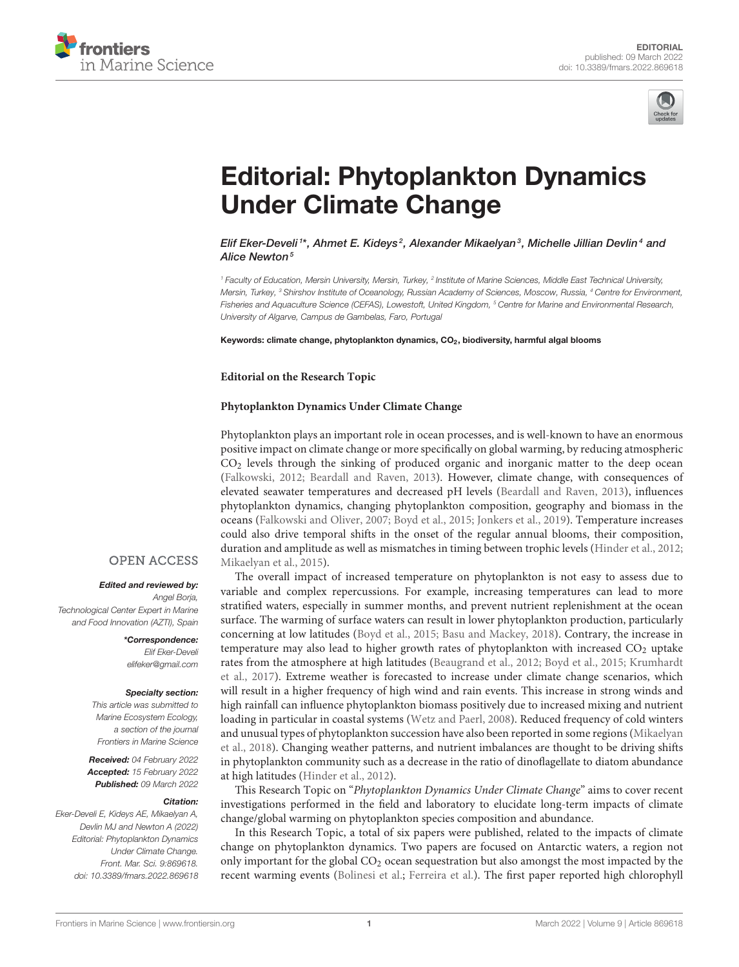



# [Editorial: Phytoplankton Dynamics](https://www.frontiersin.org/articles/10.3389/fmars.2022.869618/full) Under Climate Change

Elif Eker-Develi $^{\text{1}*}$ , Ahmet E. Kideys $^2$ , Alexander Mikaelyan $^3$ , Michelle Jillian Devlin $^4$  and Alice Newton<sup>5</sup>

*<sup>1</sup> Faculty of Education, Mersin University, Mersin, Turkey, <sup>2</sup> Institute of Marine Sciences, Middle East Technical University, Mersin, Turkey, <sup>3</sup> Shirshov Institute of Oceanology, Russian Academy of Sciences, Moscow, Russia, <sup>4</sup> Centre for Environment, Fisheries and Aquaculture Science (CEFAS), Lowestoft, United Kingdom, <sup>5</sup> Centre for Marine and Environmental Research, University of Algarve, Campus de Gambelas, Faro, Portugal*

Keywords: climate change, phytoplankton dynamics, CO<sub>2</sub>, biodiversity, harmful algal blooms

### **Editorial on the Research Topic**

## **[Phytoplankton Dynamics Under Climate Change](https://www.frontiersin.org/research-topics/12173/phytoplankton-dynamics-under-climate-change)**

Phytoplankton plays an important role in ocean processes, and is well-known to have an enormous positive impact on climate change or more specifically on global warming, by reducing atmospheric  $CO<sub>2</sub>$  levels through the sinking of produced organic and inorganic matter to the deep ocean [\(Falkowski, 2012;](#page-1-0) [Beardall and Raven, 2013\)](#page-1-1). However, climate change, with consequences of elevated seawater temperatures and decreased pH levels [\(Beardall and Raven, 2013\)](#page-1-1), influences phytoplankton dynamics, changing phytoplankton composition, geography and biomass in the oceans [\(Falkowski and Oliver, 2007;](#page-1-2) [Boyd et al., 2015;](#page-1-3) [Jonkers et al.,](#page-1-4) [2019\)](#page-1-4). Temperature increases could also drive temporal shifts in the onset of the regular annual blooms, their composition, duration and amplitude as well as mismatches in timing between trophic levels [\(Hinder et al., 2012;](#page-1-5) [Mikaelyan et al., 2015\)](#page-1-6).

## **OPEN ACCESS**

#### Edited and reviewed by:

*Angel Borja, Technological Center Expert in Marine and Food Innovation (AZTI), Spain*

> \*Correspondence: *Elif Eker-Develi [elifeker@gmail.com](mailto:elifeker@gmail.com)*

#### Specialty section:

*This article was submitted to Marine Ecosystem Ecology, a section of the journal Frontiers in Marine Science*

Received: *04 February 2022* Accepted: *15 February 2022* Published: *09 March 2022*

#### Citation:

*Eker-Develi E, Kideys AE, Mikaelyan A, Devlin MJ and Newton A (2022) Editorial: Phytoplankton Dynamics Under Climate Change. Front. Mar. Sci. 9:869618. doi: [10.3389/fmars.2022.869618](https://doi.org/10.3389/fmars.2022.869618)*

The overall impact of increased temperature on phytoplankton is not easy to assess due to variable and complex repercussions. For example, increasing temperatures can lead to more stratified waters, especially in summer months, and prevent nutrient replenishment at the ocean surface. The warming of surface waters can result in lower phytoplankton production, particularly concerning at low latitudes [\(Boyd et al., 2015;](#page-1-3) [Basu and Mackey, 2018\)](#page-1-7). Contrary, the increase in temperature may also lead to higher growth rates of phytoplankton with increased CO<sub>2</sub> uptake rates from the atmosphere at high latitudes [\(Beaugrand et al., 2012;](#page-1-8) [Boyd et al., 2015;](#page-1-3) Krumhardt et al., [2017\)](#page-1-9). Extreme weather is forecasted to increase under climate change scenarios, which will result in a higher frequency of high wind and rain events. This increase in strong winds and high rainfall can influence phytoplankton biomass positively due to increased mixing and nutrient loading in particular in coastal systems [\(Wetz and Paerl, 2008\)](#page-1-10). Reduced frequency of cold winters and unusual types of phytoplankton succession have also been reported in some regions (Mikaelyan et al., [2018\)](#page-1-11). Changing weather patterns, and nutrient imbalances are thought to be driving shifts in phytoplankton community such as a decrease in the ratio of dinoflagellate to diatom abundance at high latitudes [\(Hinder et al., 2012\)](#page-1-5).

This Research Topic on "Phytoplankton Dynamics Under Climate Change" aims to cover recent investigations performed in the field and laboratory to elucidate long-term impacts of climate change/global warming on phytoplankton species composition and abundance.

In this Research Topic, a total of six papers were published, related to the impacts of climate change on phytoplankton dynamics. Two papers are focused on Antarctic waters, a region not only important for the global CO<sup>2</sup> ocean sequestration but also amongst the most impacted by the recent warming events [\(Bolinesi et al.;](https://doi.org/10.3389/fmars.2020.574963) [Ferreira et al.\)](https://doi.org/10.3389/fmars.2020.576254). The first paper reported high chlorophyll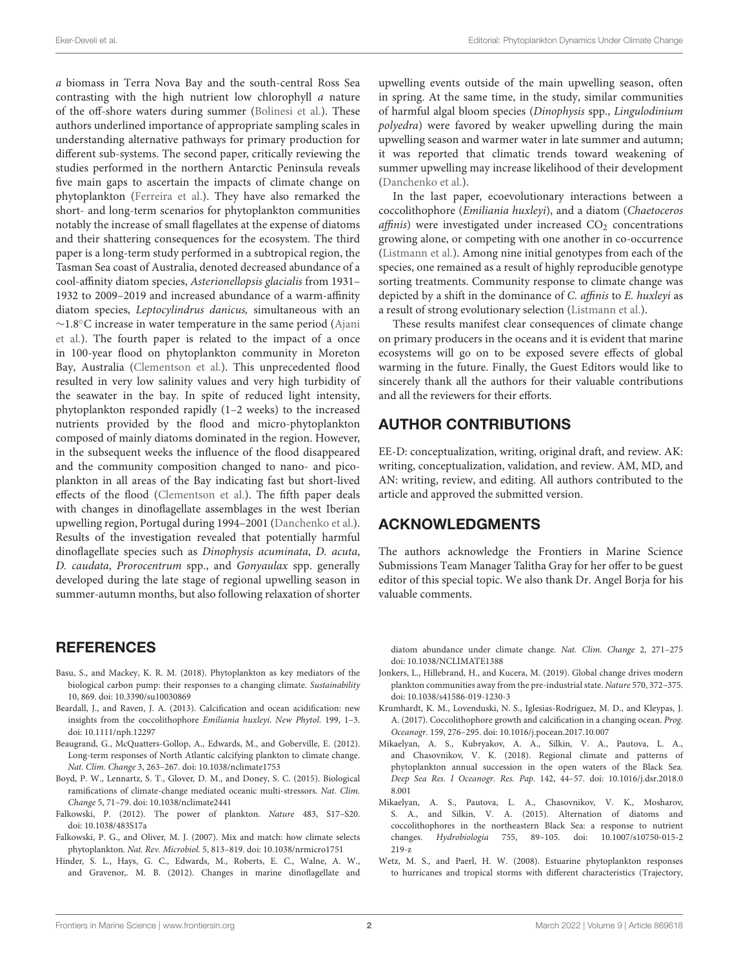a biomass in Terra Nova Bay and the south-central Ross Sea contrasting with the high nutrient low chlorophyll a nature of the off-shore waters during summer [\(Bolinesi et al.\)](https://doi.org/10.3389/fmars.2020.574963). These authors underlined importance of appropriate sampling scales in understanding alternative pathways for primary production for different sub-systems. The second paper, critically reviewing the studies performed in the northern Antarctic Peninsula reveals five main gaps to ascertain the impacts of climate change on phytoplankton [\(Ferreira et al.\)](https://doi.org/10.3389/fmars.2020.576254). They have also remarked the short- and long-term scenarios for phytoplankton communities notably the increase of small flagellates at the expense of diatoms and their shattering consequences for the ecosystem. The third paper is a long-term study performed in a subtropical region, the Tasman Sea coast of Australia, denoted decreased abundance of a cool-affinity diatom species, Asterionellopsis glacialis from 1931– 1932 to 2009–2019 and increased abundance of a warm-affinity diatom species, Leptocylindrus danicus, simultaneous with an ∼1.8◦C increase in water temperature in the same period (Ajani [et al.\). The fourth paper is related to the impact of a once](https://doi.org/10.3389/fmars.2020.576011) in 100-year flood on phytoplankton community in Moreton Bay, Australia [\(Clementson et al.\)](https://doi.org/10.3389/fmars.2021.580516). This unprecedented flood resulted in very low salinity values and very high turbidity of the seawater in the bay. In spite of reduced light intensity, phytoplankton responded rapidly (1–2 weeks) to the increased nutrients provided by the flood and micro-phytoplankton composed of mainly diatoms dominated in the region. However, in the subsequent weeks the influence of the flood disappeared and the community composition changed to nano- and picoplankton in all areas of the Bay indicating fast but short-lived effects of the flood [\(Clementson et al.\)](https://doi.org/10.3389/fmars.2021.580516). The fifth paper deals with changes in dinoflagellate assemblages in the west Iberian upwelling region, Portugal during 1994–2001 [\(Danchenko et al.\)](https://doi.org/10.3389/fmars.2022.591759). Results of the investigation revealed that potentially harmful dinoflagellate species such as Dinophysis acuminata, D. acuta, D. caudata, Prorocentrum spp., and Gonyaulax spp. generally developed during the late stage of regional upwelling season in summer-autumn months, but also following relaxation of shorter

# **REFERENCES**

- <span id="page-1-7"></span>Basu, S., and Mackey, K. R. M. (2018). Phytoplankton as key mediators of the biological carbon pump: their responses to a changing climate. Sustainability 10, 869. doi: [10.3390/su10030869](https://doi.org/10.3390/su10030869)
- <span id="page-1-1"></span>Beardall, J., and Raven, J. A. (2013). Calcification and ocean acidification: new insights from the coccolithophore Emiliania huxleyi. New Phytol. 199, 1–3. doi: [10.1111/nph.12297](https://doi.org/10.1111/nph.12297)
- <span id="page-1-8"></span>Beaugrand, G., McQuatters-Gollop, A., Edwards, M., and Goberville, E. (2012). Long-term responses of North Atlantic calcifying plankton to climate change. Nat. Clim. Change 3, 263–267. doi: [10.1038/nclimate1753](https://doi.org/10.1038/nclimate1753)
- <span id="page-1-3"></span>Boyd, P. W., Lennartz, S. T., Glover, D. M., and Doney, S. C. (2015). Biological ramifications of climate-change mediated oceanic multi-stressors. Nat. Clim. Change 5, 71–79. doi: [10.1038/nclimate2441](https://doi.org/10.1038/nclimate2441)
- <span id="page-1-0"></span>Falkowski, P. (2012). The power of plankton. Nature 483, S17–S20. doi: [10.1038/483S17a](https://doi.org/10.1038/483S17a)
- <span id="page-1-2"></span>Falkowski, P. G., and Oliver, M. J. (2007). Mix and match: how climate selects phytoplankton. Nat. Rev. Microbiol. 5, 813–819. doi: [10.1038/nrmicro1751](https://doi.org/10.1038/nrmicro1751)
- <span id="page-1-5"></span>Hinder, S. L., Hays, G. C., Edwards, M., Roberts, E. C., Walne, A. W., and Gravenor,. M. B. (2012). Changes in marine dinoflagellate and

upwelling events outside of the main upwelling season, often in spring. At the same time, in the study, similar communities of harmful algal bloom species (Dinophysis spp., Lingulodinium polyedra) were favored by weaker upwelling during the main upwelling season and warmer water in late summer and autumn; it was reported that climatic trends toward weakening of summer upwelling may increase likelihood of their development [\(Danchenko et al.\)](https://doi.org/10.3389/fmars.2022.591759).

In the last paper, ecoevolutionary interactions between a coccolithophore (Emiliania huxleyi), and a diatom (Chaetoceros  $affinis$ ) were investigated under increased  $CO<sub>2</sub>$  concentrations growing alone, or competing with one another in co-occurrence [\(Listmann et al.\)](https://doi.org/10.3389/fmars.2020.00634). Among nine initial genotypes from each of the species, one remained as a result of highly reproducible genotype sorting treatments. Community response to climate change was depicted by a shift in the dominance of C. affinis to E. huxleyi as a result of strong evolutionary selection [\(Listmann et al.\)](https://doi.org/10.3389/fmars.2020.00634).

These results manifest clear consequences of climate change on primary producers in the oceans and it is evident that marine ecosystems will go on to be exposed severe effects of global warming in the future. Finally, the Guest Editors would like to sincerely thank all the authors for their valuable contributions and all the reviewers for their efforts.

# AUTHOR CONTRIBUTIONS

EE-D: conceptualization, writing, original draft, and review. AK: writing, conceptualization, validation, and review. AM, MD, and AN: writing, review, and editing. All authors contributed to the article and approved the submitted version.

# ACKNOWLEDGMENTS

The authors acknowledge the Frontiers in Marine Science Submissions Team Manager Talitha Gray for her offer to be guest editor of this special topic. We also thank Dr. Angel Borja for his valuable comments.

diatom abundance under climate change. Nat. Clim. Change 2, 271–275 doi: [10.1038/NCLIMATE1388](https://doi.org/10.1038/NCLIMATE1388)

- <span id="page-1-4"></span>Jonkers, L., Hillebrand, H., and Kucera, M. (2019). Global change drives modern plankton communities away from the pre-industrial state. Nature 570, 372–375. doi: [10.1038/s41586-019-1230-3](https://doi.org/10.1038/s41586-019-1230-3)
- <span id="page-1-9"></span>Krumhardt, K. M., Lovenduski, N. S., Iglesias-Rodríguez, M. D., and Kleypas, J. A. (2017). Coccolithophore growth and calcification in a changing ocean. Prog. Oceanogr. 159, 276–295. doi: [10.1016/j.pocean.2017.10.007](https://doi.org/10.1016/j.pocean.2017.10.007)
- <span id="page-1-11"></span>Mikaelyan, A. S., Kubryakov, A. A., Silkin, V. A., Pautova, L. A., and Chasovnikov, V. K. (2018). Regional climate and patterns of phytoplankton annual succession in the open waters of the Black Sea. Deep Sea Res. I Oceanogr. Res. Pap[. 142, 44–57. doi: 10.1016/j.dsr.2018.0](https://doi.org/10.1016/j.dsr.2018.08.001) 8.001
- <span id="page-1-6"></span>Mikaelyan, A. S., Pautova, L. A., Chasovnikov, V. K., Mosharov, S. A., and Silkin, V. A. (2015). Alternation of diatoms and coccolithophores in the northeastern Black Sea: a response to nutrient changes. Hydrobiologia [755, 89–105. doi: 10.1007/s10750-015-2](https://doi.org/10.1007/s10750-015-2219-z) 219-z
- <span id="page-1-10"></span>Wetz, M. S., and Paerl, H. W. (2008). Estuarine phytoplankton responses to hurricanes and tropical storms with different characteristics (Trajectory,